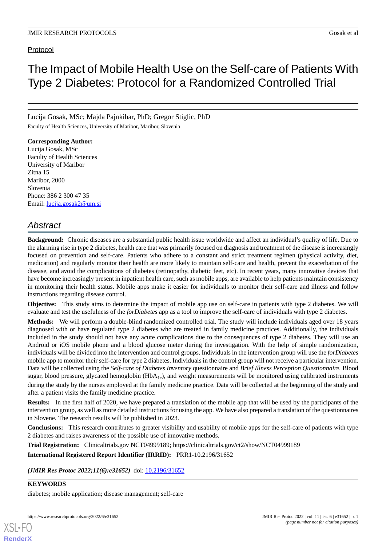# Protocol

# The Impact of Mobile Health Use on the Self-care of Patients With Type 2 Diabetes: Protocol for a Randomized Controlled Trial

Lucija Gosak, MSc; Majda Pajnkihar, PhD; Gregor Stiglic, PhD

Faculty of Health Sciences, University of Maribor, Maribor, Slovenia

**Corresponding Author:** Lucija Gosak, MSc Faculty of Health Sciences University of Maribor Zitna 15 Maribor, 2000 Slovenia Phone: 386 2 300 47 35 Email: [lucija.gosak2@um.si](mailto:lucija.gosak2@um.si)

# *Abstract*

**Background:** Chronic diseases are a substantial public health issue worldwide and affect an individual's quality of life. Due to the alarming rise in type 2 diabetes, health care that was primarily focused on diagnosis and treatment of the disease is increasingly focused on prevention and self-care. Patients who adhere to a constant and strict treatment regimen (physical activity, diet, medication) and regularly monitor their health are more likely to maintain self-care and health, prevent the exacerbation of the disease, and avoid the complications of diabetes (retinopathy, diabetic feet, etc). In recent years, many innovative devices that have become increasingly present in inpatient health care, such as mobile apps, are available to help patients maintain consistency in monitoring their health status. Mobile apps make it easier for individuals to monitor their self-care and illness and follow instructions regarding disease control.

**Objective:** This study aims to determine the impact of mobile app use on self-care in patients with type 2 diabetes. We will evaluate and test the usefulness of the *forDiabetes* app as a tool to improve the self-care of individuals with type 2 diabetes.

**Methods:** We will perform a double-blind randomized controlled trial. The study will include individuals aged over 18 years diagnosed with or have regulated type 2 diabetes who are treated in family medicine practices. Additionally, the individuals included in the study should not have any acute complications due to the consequences of type 2 diabetes. They will use an Android or iOS mobile phone and a blood glucose meter during the investigation. With the help of simple randomization, individuals will be divided into the intervention and control groups. Individuals in the intervention group will use the *forDiabetes* mobile app to monitor their self-care for type 2 diabetes. Individuals in the control group will not receive a particular intervention. Data will be collected using the *Self-care of Diabetes Inventory* questionnaire and *Brief Illness Perception Questionnaire.* Blood sugar, blood pressure, glycated hemoglobin  $(HbA_{1c})$ , and weight measurements will be monitored using calibrated instruments during the study by the nurses employed at the family medicine practice. Data will be collected at the beginning of the study and after a patient visits the family medicine practice.

**Results:** In the first half of 2020, we have prepared a translation of the mobile app that will be used by the participants of the intervention group, as well as more detailed instructions for using the app. We have also prepared a translation of the questionnaires in Slovene. The research results will be published in 2023.

**Conclusions:** This research contributes to greater visibility and usability of mobile apps for the self-care of patients with type 2 diabetes and raises awareness of the possible use of innovative methods.

**Trial Registration:** Clinicaltrials.gov NCT04999189; https://clinicaltrials.gov/ct2/show/NCT04999189

**International Registered Report Identifier (IRRID):** PRR1-10.2196/31652

(JMIR Res Protoc 2022;11(6):e31652) doi: [10.2196/31652](http://dx.doi.org/10.2196/31652)

# **KEYWORDS**

[XSL](http://www.w3.org/Style/XSL)•FO **[RenderX](http://www.renderx.com/)**

diabetes; mobile application; disease management; self-care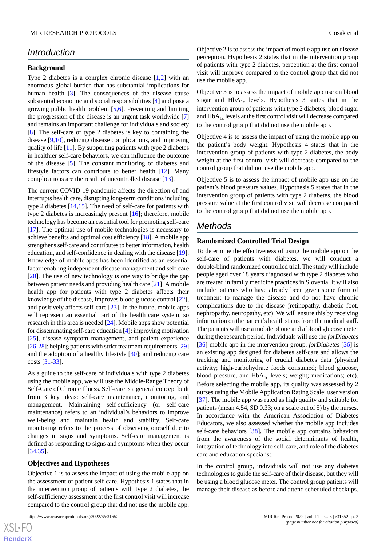# *Introduction*

#### **Background**

Type 2 diabetes is a complex chronic disease [\[1](#page-5-0),[2\]](#page-5-1) with an enormous global burden that has substantial implications for human health [[3\]](#page-5-2). The consequences of the disease cause substantial economic and social responsibilities [\[4\]](#page-5-3) and pose a growing public health problem [[5,](#page-5-4)[6](#page-5-5)]. Preventing and limiting the progression of the disease is an urgent task worldwide [\[7](#page-5-6)] and remains an important challenge for individuals and society [[8\]](#page-5-7). The self-care of type 2 diabetes is key to containing the disease [\[9](#page-5-8),[10\]](#page-5-9), reducing disease complications, and improving quality of life [[11\]](#page-5-10). By supporting patients with type 2 diabetes in healthier self-care behaviors, we can influence the outcome of the disease [[5](#page-5-4)]. The constant monitoring of diabetes and lifestyle factors can contribute to better health [[12\]](#page-5-11). Many complications are the result of uncontrolled disease [[13\]](#page-5-12).

The current COVID-19 pandemic affects the direction of and interrupts health care, disrupting long-term conditions including type 2 diabetes [\[14](#page-5-13),[15\]](#page-5-14). The need of self-care for patients with type 2 diabetes is increasingly present [\[16](#page-5-15)]; therefore, mobile technology has become an essential tool for promoting self-care [[17\]](#page-5-16). The optimal use of mobile technologies is necessary to achieve benefits and optimal cost efficiency [\[18](#page-5-17)]. A mobile app strengthens self-care and contributes to better information, health education, and self-confidence in dealing with the disease [[19\]](#page-5-18). Knowledge of mobile apps has been identified as an essential factor enabling independent disease management and self-care [[20\]](#page-6-0). The use of new technology is one way to bridge the gap between patient needs and providing health care [[21\]](#page-6-1). A mobile health app for patients with type 2 diabetes affects their knowledge of the disease, improves blood glucose control [[22\]](#page-6-2), and positively affects self-care [\[23](#page-6-3)]. In the future, mobile apps will represent an essential part of the health care system, so research in this area is needed [[24\]](#page-6-4). Mobile apps show potential for disseminating self-care education [\[4\]](#page-5-3); improving motivation [[25\]](#page-6-5), disease symptom management, and patient experience [[26-](#page-6-6)[28\]](#page-6-7); helping patients with strict treatment requirements [\[29](#page-6-8)] and the adoption of a healthy lifestyle [\[30](#page-6-9)]; and reducing care costs [\[31](#page-6-10)-[33\]](#page-6-11).

As a guide to the self-care of individuals with type 2 diabetes using the mobile app, we will use the Middle-Range Theory of Self-Care of Chronic Illness. Self-care is a general concept built from 3 key ideas: self-care maintenance, monitoring, and management. Maintaining self-sufficiency (or self-care maintenance) refers to an individual's behaviors to improve well-being and maintain health and stability. Self-care monitoring refers to the process of observing oneself due to changes in signs and symptoms. Self-care management is defined as responding to signs and symptoms when they occur [[34](#page-6-12)[,35](#page-6-13)].

#### **Objectives and Hypotheses**

Objective 1 is to assess the impact of using the mobile app on the assessment of patient self-care. Hypothesis 1 states that in the intervention group of patients with type 2 diabetes, the self-sufficiency assessment at the first control visit will increase compared to the control group that did not use the mobile app.

Objective 2 is to assess the impact of mobile app use on disease perception. Hypothesis 2 states that in the intervention group of patients with type 2 diabetes, perception at the first control visit will improve compared to the control group that did not use the mobile app.

Objective 3 is to assess the impact of mobile app use on blood sugar and  $HbA_{1c}$  levels. Hypothesis 3 states that in the intervention group of patients with type 2 diabetes, blood sugar and  $HbA_{1c}$  levels at the first control visit will decrease compared to the control group that did not use the mobile app.

Objective 4 is to assess the impact of using the mobile app on the patient's body weight. Hypothesis 4 states that in the intervention group of patients with type 2 diabetes, the body weight at the first control visit will decrease compared to the control group that did not use the mobile app.

Objective 5 is to assess the impact of mobile app use on the patient's blood pressure values. Hypothesis 5 states that in the intervention group of patients with type 2 diabetes, the blood pressure value at the first control visit will decrease compared to the control group that did not use the mobile app.

# *Methods*

#### **Randomized Controlled Trial Design**

To determine the effectiveness of using the mobile app on the self-care of patients with diabetes, we will conduct a double-blind randomized controlled trial. The study will include people aged over 18 years diagnosed with type 2 diabetes who are treated in family medicine practices in Slovenia. It will also include patients who have already been given some form of treatment to manage the disease and do not have chronic complications due to the disease (retinopathy, diabetic foot, nephropathy, neuropathy, etc). We will ensure this by receiving information on the patient's health status from the medical staff. The patients will use a mobile phone and a blood glucose meter during the research period. Individuals will use the *forDiabetes* [[36\]](#page-6-14) mobile app in the intervention group. *forDiabetes* [36] is an existing app designed for diabetes self-care and allows the tracking and monitoring of crucial diabetes data (physical activity; high-carbohydrate foods consumed; blood glucose, blood pressure, and  $HbA_{1c}$  levels; weight; medications; etc). Before selecting the mobile app, its quality was assessed by 2 nurses using the Mobile Application Rating Scale: user version [[37\]](#page-6-15). The mobile app was rated as high quality and suitable for patients (mean 4.54, SD 0.33; on a scale out of 5) by the nurses. In accordance with the American Association of Diabetes Educators, we also assessed whether the mobile app includes self-care behaviors [[38\]](#page-6-16). The mobile app contains behaviors from the awareness of the social determinants of health, integration of technology into self-care, and role of the diabetes care and education specialist.

In the control group, individuals will not use any diabetes technologies to guide the self-care of their disease, but they will be using a blood glucose meter. The control group patients will manage their disease as before and attend scheduled checkups.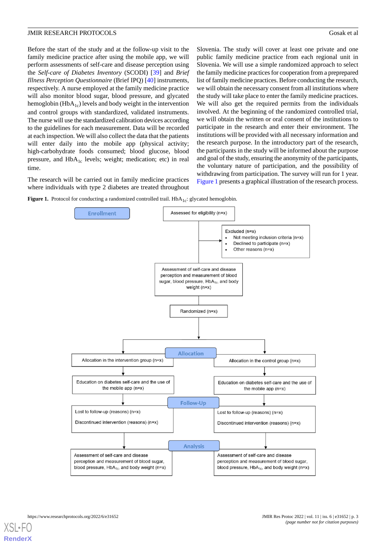Before the start of the study and at the follow-up visit to the family medicine practice after using the mobile app, we will perform assessments of self-care and disease perception using the *Self-care of Diabetes Inventory* (SCODI) [[39\]](#page-6-17) and *Brief Illness Perception Questionnaire* (Brief IPQ) [[40\]](#page-6-18) instruments, respectively. A nurse employed at the family medicine practice will also monitor blood sugar, blood pressure, and glycated hemoglobin ( $HbA_{1c}$ ) levels and body weight in the intervention and control groups with standardized, validated instruments. The nurse will use the standardized calibration devices according to the guidelines for each measurement. Data will be recorded at each inspection. We will also collect the data that the patients will enter daily into the mobile app (physical activity; high-carbohydrate foods consumed; blood glucose, blood pressure, and  $HbA_{1c}$  levels; weight; medication; etc) in real time.

<span id="page-2-0"></span>The research will be carried out in family medicine practices where individuals with type 2 diabetes are treated throughout Slovenia. The study will cover at least one private and one public family medicine practice from each regional unit in Slovenia. We will use a simple randomized approach to select the family medicine practices for cooperation from a preprepared list of family medicine practices. Before conducting the research, we will obtain the necessary consent from all institutions where the study will take place to enter the family medicine practices. We will also get the required permits from the individuals involved. At the beginning of the randomized controlled trial, we will obtain the written or oral consent of the institutions to participate in the research and enter their environment. The institutions will be provided with all necessary information and the research purpose. In the introductory part of the research, the participants in the study will be informed about the purpose and goal of the study, ensuring the anonymity of the participants, the voluntary nature of participation, and the possibility of withdrawing from participation. The survey will run for 1 year. [Figure 1](#page-2-0) presents a graphical illustration of the research process.

Figure 1. Protocol for conducting a randomized controlled trail. HbA<sub>1c</sub>: glycated hemoglobin.

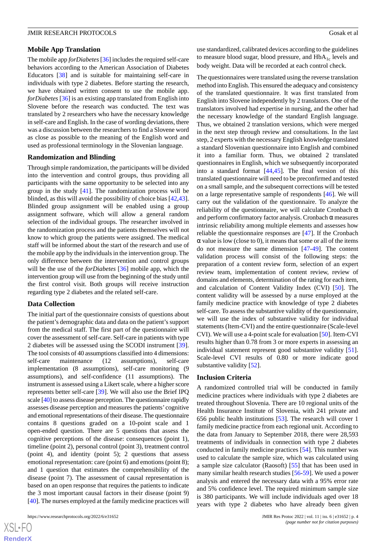#### **Mobile App Translation**

The mobile app *forDiabetes* [\[36\]](#page-6-14) includes the required self-care behaviors according to the American Association of Diabetes Educators [[38\]](#page-6-16) and is suitable for maintaining self-care in individuals with type 2 diabetes. Before starting the research, we have obtained written consent to use the mobile app. *forDiabetes* [\[36](#page-6-14)] is an existing app translated from English into Slovene before the research was conducted. The text was translated by 2 researchers who have the necessary knowledge in self-care and English. In the case of wording deviations, there was a discussion between the researchers to find a Slovene word as close as possible to the meaning of the English word and used as professional terminology in the Slovenian language.

#### **Randomization and Blinding**

Through simple randomization, the participants will be divided into the intervention and control groups, thus providing all participants with the same opportunity to be selected into any group in the study [\[41](#page-7-0)]. The randomization process will be blinded, as this will avoid the possibility of choice bias [\[42](#page-7-1),[43\]](#page-7-2). Blinded group assignment will be enabled using a group assignment software, which will allow a general random selection of the individual groups. The researcher involved in the randomization process and the patients themselves will not know to which group the patients were assigned. The medical staff will be informed about the start of the research and use of the mobile app by the individuals in the intervention group. The only difference between the intervention and control groups will be the use of the *forDiabetes* [\[36](#page-6-14)] mobile app, which the intervention group will use from the beginning of the study until the first control visit. Both groups will receive instruction regarding type 2 diabetes and the related self-care.

#### **Data Collection**

The initial part of the questionnaire consists of questions about the patient's demographic data and data on the patient's support from the medical staff. The first part of the questionnaire will cover the assessment of self-care. Self-care in patients with type 2 diabetes will be assessed using the SCODI instrument [[39\]](#page-6-17). The tool consists of 40 assumptions classified into 4 dimensions: self-care maintenance (12 assumptions), self-care implementation (8 assumptions), self-care monitoring (9 assumptions), and self-confidence (11 assumptions). The instrument is assessed using a Likert scale, where a higher score represents better self-care [\[39](#page-6-17)]. We will also use the Brief IPQ scale [\[40\]](#page-6-18) to assess disease perception. The questionnaire rapidly assesses disease perception and measures the patients' cognitive and emotional representations of their disease. The questionnaire contains 8 questions graded on a 10-point scale and 1 open-ended question. There are 5 questions that assess the cognitive perceptions of the disease: consequences (point 1), timeline (point 2), personal control (point 3), treatment control (point 4), and identity (point 5); 2 questions that assess emotional representation: care (point 6) and emotions (point 8); and 1 question that estimates the comprehensibility of the disease (point 7). The assessment of causal representation is based on an open response that requires the patients to indicate the 3 most important causal factors in their disease (point 9) [[40\]](#page-6-18). The nurses employed at the family medicine practices will

use standardized, calibrated devices according to the guidelines to measure blood sugar, blood pressure, and  $HbA_{1c}$  levels and body weight. Data will be recorded at each control check.

The questionnaires were translated using the reverse translation method into English. This ensured the adequacy and consistency of the translated questionnaire. It was first translated from English into Slovene independently by 2 translators. One of the translators involved had expertise in nursing, and the other had the necessary knowledge of the standard English language. Thus, we obtained 2 translation versions, which were merged in the next step through review and consultations. In the last step, 2 experts with the necessary English knowledge translated a standard Slovenian questionnaire into English and combined it into a familiar form. Thus, we obtained 2 translated questionnaires in English, which we subsequently incorporated into a standard format [\[44](#page-7-3),[45\]](#page-7-4). The final version of this translated questionnaire will need to be preconfirmed and tested on a small sample, and the subsequent corrections will be tested on a large representative sample of respondents [\[46](#page-7-5)]. We will carry out the validation of the questionnaire. To analyze the reliability of the questionnaire, we will calculate Cronbach  $\alpha$ and perform confirmatory factor analysis. Cronbach  $\alpha$  measures intrinsic reliability among multiple elements and assesses how reliable the questionnaire responses are [[47\]](#page-7-6). If the Cronbach  $\alpha$  value is low (close to 0), it means that some or all of the items do not measure the same dimension [\[47](#page-7-6)-[49\]](#page-7-7). The content validation process will consist of the following steps: the preparation of a content review form, selection of an expert review team, implementation of content review, review of domains and elements, determination of the rating for each item, and calculation of Content Validity Index (CVI) [[50\]](#page-7-8). The content validity will be assessed by a nurse employed at the family medicine practice with knowledge of type 2 diabetes self-care. To assess the substantive validity of the questionnaire, we will use the index of substantive validity for individual statements (Item-CVI) and the entire questionnaire (Scale-level CVI). We will use a 4-point scale for evaluation [\[50](#page-7-8)]. Item-CVI results higher than 0.78 from 3 or more experts in assessing an individual statement represent good substantive validity [[51\]](#page-7-9). Scale-level CVI results of 0.80 or more indicate good substantive validity [[52\]](#page-7-10).

#### **Inclusion Criteria**

A randomized controlled trial will be conducted in family medicine practices where individuals with type 2 diabetes are treated throughout Slovenia. There are 10 regional units of the Health Insurance Institute of Slovenia, with 241 private and 656 public health institutions [\[53](#page-7-11)]. The research will cover 1 family medicine practice from each regional unit. According to the data from January to September 2018, there were 28,593 treatments of individuals in connection with type 2 diabetes conducted in family medicine practices [[54\]](#page-7-12). This number was used to calculate the sample size, which was calculated using a sample size calculator (Raosoft) [\[55](#page-7-13)] that has been used in many similar health research studies [[56-](#page-7-14)[59](#page-7-15)]. We used a power analysis and entered the necessary data with a 95% error rate and 5% confidence level. The required minimum sample size is 380 participants. We will include individuals aged over 18 years with type 2 diabetes who have already been given

 $XS$  $\cdot$ FC **[RenderX](http://www.renderx.com/)**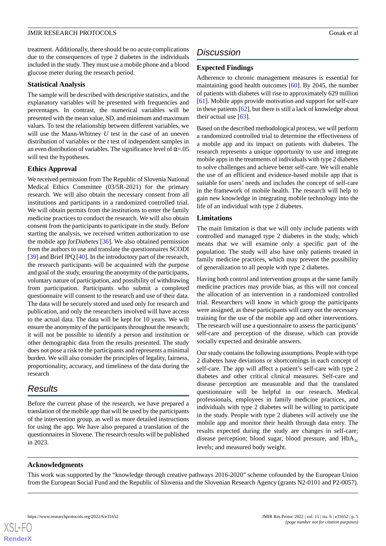treatment. Additionally, there should be no acute complications due to the consequences of type 2 diabetes in the individuals included in the study. They must use a mobile phone and a blood glucose meter during the research period.

#### **Statistical Analysis**

The sample will be described with descriptive statistics, and the explanatory variables will be presented with frequencies and percentages. In contrast, the numerical variables will be presented with the mean value, SD, and minimum and maximum values. To test the relationship between different variables, we will use the Mann-Whitney *U* test in the case of an uneven distribution of variables or the *t* test of independent samples in an even distribution of variables. The significance level of  $\alpha = 0.05$ will test the hypotheses.

### **Ethics Approval**

We received permission from The Republic of Slovenia National Medical Ethics Committee (03/5R-2021) for the primary research. We will also obtain the necessary consent from all institutions and participants in a randomized controlled trial. We will obtain permits from the institutions to enter the family medicine practices to conduct the research. We will also obtain consent from the participants to participate in the study. Before starting the analysis, we received written authorization to use the mobile app *forDiabetes* [[36\]](#page-6-14). We also obtained permission from the authors to use and translate the questionnaires SCODI [[39\]](#page-6-17) and Brief IPQ [\[40](#page-6-18)]. In the introductory part of the research, the research participants will be acquainted with the purpose and goal of the study, ensuring the anonymity of the participants, voluntary nature of participation, and possibility of withdrawing from participation. Participants who submit a completed questionnaire will consent to the research and use of their data. The data will be securely stored and used only for research and publication, and only the researchers involved will have access to the actual data. The data will be kept for 10 years. We will ensure the anonymity of the participants throughout the research; it will not be possible to identify a person and institution or other demographic data from the results presented. The study does not pose a risk to the participants and represents a minimal burden. We will also consider the principles of legality, fairness, proportionality, accuracy, and timeliness of the data during the research

# *Results*

Before the current phase of the research, we have prepared a translation of the mobile app that will be used by the participants of the intervention group, as well as more detailed instructions for using the app. We have also prepared a translation of the questionnaires in Slovene. The research results will be published in 2023.

# *Discussion*

# **Expected Findings**

Adherence to chronic management measures is essential for maintaining good health outcomes [[60\]](#page-7-16). By 2045, the number of patients with diabetes will rise to approximately 629 million [[61\]](#page-7-17). Mobile apps provide motivation and support for self-care in these patients [[62](#page-7-18)], but there is still a lack of knowledge about their actual use  $[63]$  $[63]$ .

Based on the described methodological process, we will perform a randomized controlled trial to determine the effectiveness of a mobile app and its impact on patients with diabetes. The research represents a unique opportunity to use and integrate mobile apps in the treatments of individuals with type 2 diabetes to solve challenges and achieve better self-care. We will enable the use of an efficient and evidence-based mobile app that is suitable for users' needs and includes the concept of self-care in the framework of mobile health. The research will help to gain new knowledge in integrating mobile technology into the life of an individual with type 2 diabetes.

# **Limitations**

The main limitation is that we will only include patients with controlled and managed type 2 diabetes in the study, which means that we will examine only a specific part of the population. The study will also have only patients treated in family medicine practices, which may prevent the possibility of generalization to all people with type 2 diabetes.

Having both control and intervention groups at the same family medicine practices may provide bias, as this will not conceal the allocation of an intervention in a randomized controlled trial. Researchers will know in which group the participants were assigned, as these participants will carry out the necessary training for the use of the mobile app and other interventions. The research will use a questionnaire to assess the participants' self-care and perception of the disease, which can provide socially expected and desirable answers.

Our study contains the following assumptions. People with type 2 diabetes have deviations or shortcomings in each concept of self-care. The app will affect a patient's self-care with type 2 diabetes and other critical clinical measures. Self-care and disease perception are measurable and that the translated questionnaire will be helpful in our research. Medical professionals, employees in family medicine practices, and individuals with type 2 diabetes will be willing to participate in the study. People with type 2 diabetes will actively use the mobile app and monitor their health through data entry. The results expected during the study are changes in self-care; disease perception; blood sugar, blood pressure, and  $HbA_{1c}$ levels; and measured body weight.

#### **Acknowledgments**

This work was supported by the "knowledge through creative pathways 2016-2020" scheme cofounded by the European Union from the European Social Fund and the Republic of Slovenia and the Slovenian Research Agency (grants N2-0101 and P2-0057).

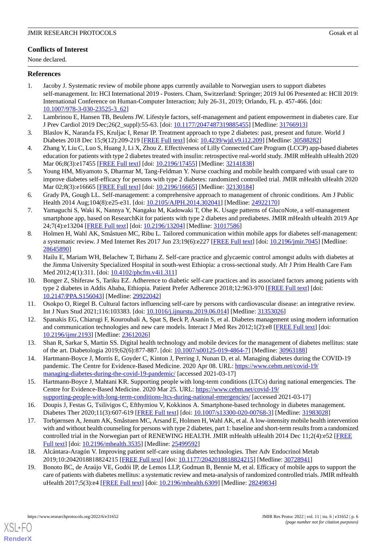# **Conflicts of Interest**

None declared.

# <span id="page-5-0"></span>**References**

- 1. Jacoby J. Systematic review of mobile phone apps currently available to Norwegian users to support diabetes self-management. In: HCI International 2019 - Posters. Cham, Switzerland: Springer; 2019 Jul 06 Presented at: HCII 2019: International Conference on Human-Computer Interaction; July 26-31, 2019; Orlando, FL p. 457-466. [doi: [10.1007/978-3-030-23525-3\\_62](http://dx.doi.org/10.1007/978-3-030-23525-3_62)]
- <span id="page-5-2"></span><span id="page-5-1"></span>2. Lambrinou E, Hansen TB, Beulens JW. Lifestyle factors, self-management and patient empowerment in diabetes care. Eur J Prev Cardiol 2019 Dec;26(2\_suppl):55-63. [doi: [10.1177/2047487319885455\]](http://dx.doi.org/10.1177/2047487319885455) [Medline: [31766913](http://www.ncbi.nlm.nih.gov/entrez/query.fcgi?cmd=Retrieve&db=PubMed&list_uids=31766913&dopt=Abstract)]
- <span id="page-5-3"></span>3. Blaslov K, Naranđa FS, Kruljac I, Renar IP. Treatment approach to type 2 diabetes: past, present and future. World J Diabetes 2018 Dec 15;9(12):209-219 [[FREE Full text\]](https://www.wjgnet.com/1948-9358/full/v9/i12/209.htm) [doi: [10.4239/wjd.v9.i12.209\]](http://dx.doi.org/10.4239/wjd.v9.i12.209) [Medline: [30588282](http://www.ncbi.nlm.nih.gov/entrez/query.fcgi?cmd=Retrieve&db=PubMed&list_uids=30588282&dopt=Abstract)]
- <span id="page-5-4"></span>4. Zhang Y, Liu C, Luo S, Huang J, Li X, Zhou Z. Effectiveness of Lilly Connected Care Program (LCCP) app-based diabetes education for patients with type 2 diabetes treated with insulin: retrospective real-world study. JMIR mHealth uHealth 2020 Mar 06;8(3):e17455 [\[FREE Full text\]](https://mhealth.jmir.org/2020/3/e17455/) [doi: [10.2196/17455](http://dx.doi.org/10.2196/17455)] [Medline: [32141838\]](http://www.ncbi.nlm.nih.gov/entrez/query.fcgi?cmd=Retrieve&db=PubMed&list_uids=32141838&dopt=Abstract)
- <span id="page-5-5"></span>5. Young HM, Miyamoto S, Dharmar M, Tang-Feldman Y. Nurse coaching and mobile health compared with usual care to improve diabetes self-efficacy for persons with type 2 diabetes: randomized controlled trial. JMIR mHealth uHealth 2020 Mar 02;8(3):e16665 [\[FREE Full text\]](https://mhealth.jmir.org/2020/3/e16665/) [doi: [10.2196/16665](http://dx.doi.org/10.2196/16665)] [Medline: [32130184\]](http://www.ncbi.nlm.nih.gov/entrez/query.fcgi?cmd=Retrieve&db=PubMed&list_uids=32130184&dopt=Abstract)
- <span id="page-5-6"></span>6. Grady PA, Gough LL. Self-management: a comprehensive approach to management of chronic conditions. Am J Public Health 2014 Aug;104(8):e25-e31. [doi: [10.2105/AJPH.2014.302041](http://dx.doi.org/10.2105/AJPH.2014.302041)] [Medline: [24922170](http://www.ncbi.nlm.nih.gov/entrez/query.fcgi?cmd=Retrieve&db=PubMed&list_uids=24922170&dopt=Abstract)]
- <span id="page-5-7"></span>7. Yamaguchi S, Waki K, Nannya Y, Nangaku M, Kadowaki T, Ohe K. Usage patterns of GlucoNote, a self-management smartphone app, based on ResearchKit for patients with type 2 diabetes and prediabetes. JMIR mHealth uHealth 2019 Apr 24;7(4):e13204 [\[FREE Full text](https://mhealth.jmir.org/2019/4/e13204/)] [doi: [10.2196/13204\]](http://dx.doi.org/10.2196/13204) [Medline: [31017586\]](http://www.ncbi.nlm.nih.gov/entrez/query.fcgi?cmd=Retrieve&db=PubMed&list_uids=31017586&dopt=Abstract)
- <span id="page-5-8"></span>8. Holmen H, Wahl AK, Småstuen MC, Ribu L. Tailored communication within mobile apps for diabetes self-management: a systematic review. J Med Internet Res 2017 Jun 23;19(6):e227 [[FREE Full text](https://www.jmir.org/2017/6/e227/)] [doi: [10.2196/jmir.7045](http://dx.doi.org/10.2196/jmir.7045)] [Medline: [28645890](http://www.ncbi.nlm.nih.gov/entrez/query.fcgi?cmd=Retrieve&db=PubMed&list_uids=28645890&dopt=Abstract)]
- <span id="page-5-9"></span>9. Hailu E, Mariam WH, Belachew T, Birhanu Z. Self-care practice and glycaemic control amongst adults with diabetes at the Jimma University Specialized Hospital in south-west Ethiopia: a cross-sectional study. Afr J Prim Health Care Fam Med 2012;4(1):311. [doi: [10.4102/phcfm.v4i1.311\]](http://dx.doi.org/10.4102/phcfm.v4i1.311)
- <span id="page-5-11"></span><span id="page-5-10"></span>10. Bonger Z, Shiferaw S, Tariku EZ. Adherence to diabetic self-care practices and its associated factors among patients with type 2 diabetes in Addis Ababa, Ethiopia. Patient Prefer Adherence 2018;12:963-970 [\[FREE Full text\]](https://dx.doi.org/10.2147/PPA.S156043) [doi: [10.2147/PPA.S156043](http://dx.doi.org/10.2147/PPA.S156043)] [Medline: [29922042](http://www.ncbi.nlm.nih.gov/entrez/query.fcgi?cmd=Retrieve&db=PubMed&list_uids=29922042&dopt=Abstract)]
- <span id="page-5-12"></span>11. Osokpo O, Riegel B. Cultural factors influencing self-care by persons with cardiovascular disease: an integrative review. Int J Nurs Stud 2021;116:103383. [doi: [10.1016/j.ijnurstu.2019.06.014\]](http://dx.doi.org/10.1016/j.ijnurstu.2019.06.014) [Medline: [31353026\]](http://www.ncbi.nlm.nih.gov/entrez/query.fcgi?cmd=Retrieve&db=PubMed&list_uids=31353026&dopt=Abstract)
- <span id="page-5-13"></span>12. Spanakis EG, Chiarugi F, Kouroubali A, Spat S, Beck P, Asanin S, et al. Diabetes management using modern information and communication technologies and new care models. Interact J Med Res 2012;1(2):e8 [\[FREE Full text\]](https://www.i-jmr.org/2012/2/e8/) [doi: [10.2196/ijmr.2193](http://dx.doi.org/10.2196/ijmr.2193)] [Medline: [23612026](http://www.ncbi.nlm.nih.gov/entrez/query.fcgi?cmd=Retrieve&db=PubMed&list_uids=23612026&dopt=Abstract)]
- <span id="page-5-14"></span>13. Shan R, Sarkar S, Martin SS. Digital health technology and mobile devices for the management of diabetes mellitus: state of the art. Diabetologia 2019;62(6):877-887. [doi: [10.1007/s00125-019-4864-7\]](http://dx.doi.org/10.1007/s00125-019-4864-7) [Medline: [30963188\]](http://www.ncbi.nlm.nih.gov/entrez/query.fcgi?cmd=Retrieve&db=PubMed&list_uids=30963188&dopt=Abstract)
- <span id="page-5-15"></span>14. Hartmann-Boyce J, Morris E, Goyder C, Kinton J, Perring J, Nunan D, et al. Managing diabetes during the COVID-19 pandemic. The Centre for Evidence-Based Medicine. 2020 Apr 08. URL: [https://www.cebm.net/covid-19/](https://www.cebm.net/covid-19/managing-diabetes-during-the-covid-19-pandemic/) [managing-diabetes-during-the-covid-19-pandemic/](https://www.cebm.net/covid-19/managing-diabetes-during-the-covid-19-pandemic/) [accessed 2021-03-17]
- <span id="page-5-16"></span>15. Hartmann-Boyce J, Mahtani KR. Supporting people with long-term conditions (LTCs) during national emergencies. The Centre for Evidence-Based Medicine. 2020 Mar 25. URL: [https://www.cebm.net/covid-19/](https://www.cebm.net/covid-19/supporting-people-with-long-term-conditions-ltcs-during-national-emergencies/) [supporting-people-with-long-term-conditions-ltcs-during-national-emergencies/](https://www.cebm.net/covid-19/supporting-people-with-long-term-conditions-ltcs-during-national-emergencies/) [accessed 2021-03-17]
- <span id="page-5-17"></span>16. Doupis J, Festas G, Tsilivigos C, Efthymiou V, Kokkinos A. Smartphone-based technology in diabetes management. Diabetes Ther 2020;11(3):607-619 [[FREE Full text](http://europepmc.org/abstract/MED/31983028)] [doi: [10.1007/s13300-020-00768-3\]](http://dx.doi.org/10.1007/s13300-020-00768-3) [Medline: [31983028](http://www.ncbi.nlm.nih.gov/entrez/query.fcgi?cmd=Retrieve&db=PubMed&list_uids=31983028&dopt=Abstract)]
- <span id="page-5-18"></span>17. Torbjørnsen A, Jenum AK, Småstuen MC, Arsand E, Holmen H, Wahl AK, et al. A low-intensity mobile health intervention with and without health counseling for persons with type 2 diabetes, part 1: baseline and short-term results from a randomized controlled trial in the Norwegian part of RENEWING HEALTH. JMIR mHealth uHealth 2014 Dec 11;2(4):e52 [[FREE](https://mhealth.jmir.org/2014/4/e52/) [Full text\]](https://mhealth.jmir.org/2014/4/e52/) [doi: [10.2196/mhealth.3535](http://dx.doi.org/10.2196/mhealth.3535)] [Medline: [25499592\]](http://www.ncbi.nlm.nih.gov/entrez/query.fcgi?cmd=Retrieve&db=PubMed&list_uids=25499592&dopt=Abstract)
- 18. Alcántara-Aragón V. Improving patient self-care using diabetes technologies. Ther Adv Endocrinol Metab 2019;10:2042018818824215 [[FREE Full text](https://journals.sagepub.com/doi/10.1177/2042018818824215?url_ver=Z39.88-2003&rfr_id=ori:rid:crossref.org&rfr_dat=cr_pub%3dpubmed)] [doi: [10.1177/2042018818824215\]](http://dx.doi.org/10.1177/2042018818824215) [Medline: [30728941\]](http://www.ncbi.nlm.nih.gov/entrez/query.fcgi?cmd=Retrieve&db=PubMed&list_uids=30728941&dopt=Abstract)
- 19. Bonoto BC, de Araújo VE, Godói IP, de Lemos LLP, Godman B, Bennie M, et al. Efficacy of mobile apps to support the care of patients with diabetes mellitus: a systematic review and meta-analysis of randomized controlled trials. JMIR mHealth uHealth 2017;5(3):e4 [\[FREE Full text\]](https://mhealth.jmir.org/2017/3/e4/) [doi: [10.2196/mhealth.6309\]](http://dx.doi.org/10.2196/mhealth.6309) [Medline: [28249834\]](http://www.ncbi.nlm.nih.gov/entrez/query.fcgi?cmd=Retrieve&db=PubMed&list_uids=28249834&dopt=Abstract)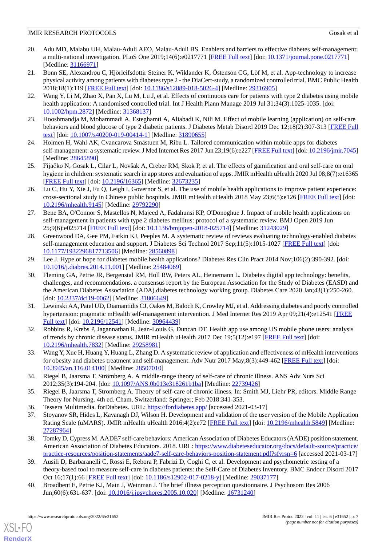- <span id="page-6-0"></span>20. Adu MD, Malabu UH, Malau-Aduli AEO, Malau-Aduli BS. Enablers and barriers to effective diabetes self-management: a multi-national investigation. PLoS One 2019;14(6):e0217771 [\[FREE Full text\]](https://dx.plos.org/10.1371/journal.pone.0217771) [doi: [10.1371/journal.pone.0217771\]](http://dx.doi.org/10.1371/journal.pone.0217771) [Medline: [31166971](http://www.ncbi.nlm.nih.gov/entrez/query.fcgi?cmd=Retrieve&db=PubMed&list_uids=31166971&dopt=Abstract)]
- <span id="page-6-1"></span>21. Bonn SE, Alexandrou C, Hjörleifsdottir Steiner K, Wiklander K, Östenson CG, Löf M, et al. App-technology to increase physical activity among patients with diabetes type 2 - the DiaCert-study, a randomized controlled trial. BMC Public Health 2018;18(1):119 [[FREE Full text\]](https://bmcpublichealth.biomedcentral.com/articles/10.1186/s12889-018-5026-4) [doi: [10.1186/s12889-018-5026-4](http://dx.doi.org/10.1186/s12889-018-5026-4)] [Medline: [29316905](http://www.ncbi.nlm.nih.gov/entrez/query.fcgi?cmd=Retrieve&db=PubMed&list_uids=29316905&dopt=Abstract)]
- <span id="page-6-2"></span>22. Wang Y, Li M, Zhao X, Pan X, Lu M, Lu J, et al. Effects of continuous care for patients with type 2 diabetes using mobile health application: A randomised controlled trial. Int J Health Plann Manage 2019 Jul 31;34(3):1025-1035. [doi: [10.1002/hpm.2872](http://dx.doi.org/10.1002/hpm.2872)] [Medline: [31368137\]](http://www.ncbi.nlm.nih.gov/entrez/query.fcgi?cmd=Retrieve&db=PubMed&list_uids=31368137&dopt=Abstract)
- <span id="page-6-4"></span><span id="page-6-3"></span>23. Hooshmandja M, Mohammadi A, Esteghamti A, Aliabadi K, Nili M. Effect of mobile learning (application) on self-care behaviors and blood glucose of type 2 diabetic patients. J Diabetes Metab Disord 2019 Dec 12;18(2):307-313 [[FREE Full](https://jdmdonline.biomedcentral.com/articles/10.1007/s40200-019-00414-1) [text](https://jdmdonline.biomedcentral.com/articles/10.1007/s40200-019-00414-1)] [doi: [10.1007/s40200-019-00414-1\]](http://dx.doi.org/10.1007/s40200-019-00414-1) [Medline: [31890655\]](http://www.ncbi.nlm.nih.gov/entrez/query.fcgi?cmd=Retrieve&db=PubMed&list_uids=31890655&dopt=Abstract)
- <span id="page-6-5"></span>24. Holmen H, Wahl AK, Cvancarova Småstuen M, Ribu L. Tailored communication within mobile apps for diabetes self-management: a systematic review. J Med Internet Res 2017 Jun 23;19(6):e227 [\[FREE Full text\]](https://www.jmir.org/2017/6/e227/) [doi: [10.2196/jmir.7045\]](http://dx.doi.org/10.2196/jmir.7045) [Medline: [28645890](http://www.ncbi.nlm.nih.gov/entrez/query.fcgi?cmd=Retrieve&db=PubMed&list_uids=28645890&dopt=Abstract)]
- <span id="page-6-6"></span>25. Fijačko N, Gosak L, Cilar L, Novšak A, Creber RM, Skok P, et al. The effects of gamification and oral self-care on oral hygiene in children: systematic search in app stores and evaluation of apps. JMIR mHealth uHealth 2020 Jul 08;8(7):e16365 [[FREE Full text](https://mhealth.jmir.org/2020/7/e16365/)] [doi: [10.2196/16365\]](http://dx.doi.org/10.2196/16365) [Medline: [32673235\]](http://www.ncbi.nlm.nih.gov/entrez/query.fcgi?cmd=Retrieve&db=PubMed&list_uids=32673235&dopt=Abstract)
- 26. Lu C, Hu Y, Xie J, Fu Q, Leigh I, Governor S, et al. The use of mobile health applications to improve patient experience: cross-sectional study in Chinese public hospitals. JMIR mHealth uHealth 2018 May 23;6(5):e126 [[FREE Full text](https://mhealth.jmir.org/2018/5/e126/)] [doi: [10.2196/mhealth.9145](http://dx.doi.org/10.2196/mhealth.9145)] [Medline: [29792290](http://www.ncbi.nlm.nih.gov/entrez/query.fcgi?cmd=Retrieve&db=PubMed&list_uids=29792290&dopt=Abstract)]
- <span id="page-6-7"></span>27. Bene BA, O'Connor S, Mastellos N, Majeed A, Fadahunsi KP, O'Donoghue J. Impact of mobile health applications on self-management in patients with type 2 diabetes mellitus: protocol of a systematic review. BMJ Open 2019 Jun 25;9(6):e025714 [\[FREE Full text](https://bmjopen.bmj.com/lookup/pmidlookup?view=long&pmid=31243029)] [doi: [10.1136/bmjopen-2018-025714\]](http://dx.doi.org/10.1136/bmjopen-2018-025714) [Medline: [31243029](http://www.ncbi.nlm.nih.gov/entrez/query.fcgi?cmd=Retrieve&db=PubMed&list_uids=31243029&dopt=Abstract)]
- <span id="page-6-8"></span>28. Greenwood DA, Gee PM, Fatkin KJ, Peeples M. A systematic review of reviews evaluating technology-enabled diabetes self-management education and support. J Diabetes Sci Technol 2017 Sep;11(5):1015-1027 [[FREE Full text](http://europepmc.org/abstract/MED/28560898)] [doi: [10.1177/1932296817713506\]](http://dx.doi.org/10.1177/1932296817713506) [Medline: [28560898\]](http://www.ncbi.nlm.nih.gov/entrez/query.fcgi?cmd=Retrieve&db=PubMed&list_uids=28560898&dopt=Abstract)
- <span id="page-6-9"></span>29. Lee J. Hype or hope for diabetes mobile health applications? Diabetes Res Clin Pract 2014 Nov;106(2):390-392. [doi: [10.1016/j.diabres.2014.11.001](http://dx.doi.org/10.1016/j.diabres.2014.11.001)] [Medline: [25484069](http://www.ncbi.nlm.nih.gov/entrez/query.fcgi?cmd=Retrieve&db=PubMed&list_uids=25484069&dopt=Abstract)]
- <span id="page-6-10"></span>30. Fleming GA, Petrie JR, Bergenstal RM, Holl RW, Peters AL, Heinemann L. Diabetes digital app technology: benefits, challenges, and recommendations. a consensus report by the European Association for the Study of Diabetes (EASD) and the American Diabetes Association (ADA) diabetes technology working group. Diabetes Care 2020 Jan;43(1):250-260. [doi: [10.2337/dci19-0062\]](http://dx.doi.org/10.2337/dci19-0062) [Medline: [31806649](http://www.ncbi.nlm.nih.gov/entrez/query.fcgi?cmd=Retrieve&db=PubMed&list_uids=31806649&dopt=Abstract)]
- 31. Lewinski AA, Patel UD, Diamantidis CJ, Oakes M, Baloch K, Crowley MJ, et al. Addressing diabetes and poorly controlled hypertension: pragmatic mHealth self-management intervention. J Med Internet Res 2019 Apr 09;21(4):e12541 [[FREE](https://www.jmir.org/2019/4/e12541/) [Full text\]](https://www.jmir.org/2019/4/e12541/) [doi: [10.2196/12541\]](http://dx.doi.org/10.2196/12541) [Medline: [30964439](http://www.ncbi.nlm.nih.gov/entrez/query.fcgi?cmd=Retrieve&db=PubMed&list_uids=30964439&dopt=Abstract)]
- <span id="page-6-12"></span><span id="page-6-11"></span>32. Robbins R, Krebs P, Jagannathan R, Jean-Louis G, Duncan DT. Health app use among US mobile phone users: analysis of trends by chronic disease status. JMIR mHealth uHealth 2017 Dec 19;5(12):e197 [\[FREE Full text\]](https://mhealth.jmir.org/2017/12/e197/) [doi: [10.2196/mhealth.7832](http://dx.doi.org/10.2196/mhealth.7832)] [Medline: [29258981](http://www.ncbi.nlm.nih.gov/entrez/query.fcgi?cmd=Retrieve&db=PubMed&list_uids=29258981&dopt=Abstract)]
- <span id="page-6-13"></span>33. Wang Y, Xue H, Huang Y, Huang L, Zhang D. A systematic review of application and effectiveness of mHealth interventions for obesity and diabetes treatment and self-management. Adv Nutr 2017 May;8(3):449-462 [\[FREE Full text](http://europepmc.org/abstract/MED/28507010)] [doi: [10.3945/an.116.014100](http://dx.doi.org/10.3945/an.116.014100)] [Medline: [28507010](http://www.ncbi.nlm.nih.gov/entrez/query.fcgi?cmd=Retrieve&db=PubMed&list_uids=28507010&dopt=Abstract)]
- <span id="page-6-15"></span><span id="page-6-14"></span>34. Riegel B, Jaarsma T, Strömberg A. A middle-range theory of self-care of chronic illness. ANS Adv Nurs Sci 2012;35(3):194-204. [doi: [10.1097/ANS.0b013e318261b1ba](http://dx.doi.org/10.1097/ANS.0b013e318261b1ba)] [Medline: [22739426\]](http://www.ncbi.nlm.nih.gov/entrez/query.fcgi?cmd=Retrieve&db=PubMed&list_uids=22739426&dopt=Abstract)
- <span id="page-6-16"></span>35. Riegel B, Jaarsma T, Stromberg A. Theory of self-care of chronic illness. In: Smith MJ, Liehr PR, editors. Middle Range Theory for Nursing. 4th ed. Cham, Switzerland: Springer; Feb 2018:341-353.
- 36. Tessera Multimedia. forDiabetes. URL: <https://fordiabetes.app/> [accessed 2021-03-17]
- <span id="page-6-17"></span>37. Stoyanov SR, Hides L, Kavanagh DJ, Wilson H. Development and validation of the user version of the Mobile Application Rating Scale (uMARS). JMIR mHealth uHealth 2016;4(2):e72 [[FREE Full text](https://mhealth.jmir.org/2016/2/e72/)] [doi: [10.2196/mhealth.5849](http://dx.doi.org/10.2196/mhealth.5849)] [Medline: [27287964](http://www.ncbi.nlm.nih.gov/entrez/query.fcgi?cmd=Retrieve&db=PubMed&list_uids=27287964&dopt=Abstract)]
- <span id="page-6-18"></span>38. Tomky D, Cypress M. AADE7 self-care behaviors: American Association of Diabetes Educators (AADE) position statement. American Association of Diabetes Educators. 2018. URL: [https://www.diabeteseducator.org/docs/default-source/practice/](https://www.diabeteseducator.org/docs/default-source/practice/practice-resources/position-statements/aade7-self-care-behaviors-position-statement.pdf?sfvrsn=6) [practice-resources/position-statements/aade7-self-care-behaviors-position-statement.pdf?sfvrsn=6](https://www.diabeteseducator.org/docs/default-source/practice/practice-resources/position-statements/aade7-self-care-behaviors-position-statement.pdf?sfvrsn=6) [accessed 2021-03-17]
- 39. Ausili D, Barbaranelli C, Rossi E, Rebora P, Fabrizi D, Coghi C, et al. Development and psychometric testing of a theory-based tool to measure self-care in diabetes patients: the Self-Care of Diabetes Inventory. BMC Endocr Disord 2017 Oct 16;17(1):66 [\[FREE Full text\]](https://bmcendocrdisord.biomedcentral.com/articles/10.1186/s12902-017-0218-y) [doi: [10.1186/s12902-017-0218-y](http://dx.doi.org/10.1186/s12902-017-0218-y)] [Medline: [29037177](http://www.ncbi.nlm.nih.gov/entrez/query.fcgi?cmd=Retrieve&db=PubMed&list_uids=29037177&dopt=Abstract)]
- 40. Broadbent E, Petrie KJ, Main J, Weinman J. The brief illness perception questionnaire. J Psychosom Res 2006 Jun;60(6):631-637. [doi: [10.1016/j.jpsychores.2005.10.020](http://dx.doi.org/10.1016/j.jpsychores.2005.10.020)] [Medline: [16731240\]](http://www.ncbi.nlm.nih.gov/entrez/query.fcgi?cmd=Retrieve&db=PubMed&list_uids=16731240&dopt=Abstract)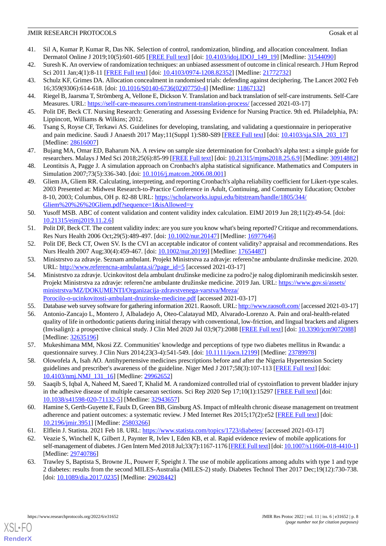- <span id="page-7-0"></span>41. Sil A, Kumar P, Kumar R, Das NK. Selection of control, randomization, blinding, and allocation concealment. Indian Dermatol Online J 2019;10(5):601-605 [\[FREE Full text\]](http://www.idoj.in/article.asp?issn=2229-5178;year=2019;volume=10;issue=5;spage=601;epage=605;aulast=Sil) [doi: [10.4103/idoj.IDOJ\\_149\\_19\]](http://dx.doi.org/10.4103/idoj.IDOJ_149_19) [Medline: [31544090\]](http://www.ncbi.nlm.nih.gov/entrez/query.fcgi?cmd=Retrieve&db=PubMed&list_uids=31544090&dopt=Abstract)
- <span id="page-7-2"></span><span id="page-7-1"></span>42. Suresh K. An overview of randomization techniques: an unbiased assessment of outcome in clinical research. J Hum Reprod Sci 2011 Jan;4(1):8-11 [\[FREE Full text](http://www.jhrsonline.org/article.asp?issn=0974-1208;year=2011;volume=4;issue=1;spage=8;epage=11;aulast=Suresh)] [doi: [10.4103/0974-1208.82352\]](http://dx.doi.org/10.4103/0974-1208.82352) [Medline: [21772732\]](http://www.ncbi.nlm.nih.gov/entrez/query.fcgi?cmd=Retrieve&db=PubMed&list_uids=21772732&dopt=Abstract)
- <span id="page-7-3"></span>43. Schulz KF, Grimes DA. Allocation concealment in randomised trials: defending against deciphering. The Lancet 2002 Feb 16;359(9306):614-618. [doi: [10.1016/S0140-6736\(02\)07750-4\]](http://dx.doi.org/10.1016/S0140-6736(02)07750-4) [Medline: [11867132](http://www.ncbi.nlm.nih.gov/entrez/query.fcgi?cmd=Retrieve&db=PubMed&list_uids=11867132&dopt=Abstract)]
- <span id="page-7-4"></span>44. Riegel B, Jaarsma T, Strömberg A, Vellone E, Dickson V. Translation and back translation of self-care instruments. Self-Care Measures. URL:<https://self-care-measures.com/instrument-translation-process/> [accessed 2021-03-17]
- <span id="page-7-5"></span>45. Polit DF, Beck CT. Nursing Research: Generating and Assessing Evidence for Nursing Practice. 9th ed. Philadelphia, PA: Lippincott, Williams & Wilkins; 2012.
- <span id="page-7-6"></span>46. Tsang S, Royse CF, Terkawi AS. Guidelines for developing, translating, and validating a questionnaire in perioperative and pain medicine. Saudi J Anaesth 2017 May;11(Suppl 1):S80-S89 [[FREE Full text](http://europepmc.org/abstract/MED/28616007)] [doi: [10.4103/sja.SJA\\_203\\_17\]](http://dx.doi.org/10.4103/sja.SJA_203_17) [Medline: [28616007](http://www.ncbi.nlm.nih.gov/entrez/query.fcgi?cmd=Retrieve&db=PubMed&list_uids=28616007&dopt=Abstract)]
- 47. Bujang MA, Omar ED, Baharum NA. A review on sample size determination for Cronbach's alpha test: a simple guide for researchers. Malays J Med Sci 2018;25(6):85-99 [[FREE Full text\]](http://europepmc.org/abstract/MED/30914882) [doi: [10.21315/mjms2018.25.6.9](http://dx.doi.org/10.21315/mjms2018.25.6.9)] [Medline: [30914882](http://www.ncbi.nlm.nih.gov/entrez/query.fcgi?cmd=Retrieve&db=PubMed&list_uids=30914882&dopt=Abstract)]
- <span id="page-7-7"></span>48. Leontitsis A, Pagge J. A simulation approach on Cronbach's alpha statistical significance. Mathematics and Computers in Simulation 2007;73(5):336-340. [doi: [10.1016/j.matcom.2006.08.001](http://dx.doi.org/10.1016/j.matcom.2006.08.001)]
- <span id="page-7-8"></span>49. Gliem JA, Gliem RR. Calculating, interpreting, and reporting Cronbach's alpha reliability coefficient for Likert-type scales. 2003 Presented at: Midwest Research-to-Practice Conference in Adult, Continuing, and Community Education; October 8-10, 2003; Columbus, OH p. 82-88 URL: [https://scholarworks.iupui.edu/bitstream/handle/1805/344/](https://scholarworks.iupui.edu/bitstream/handle/1805/344/Gliem%20%26%20Gliem.pdf?sequence=1&isAllowed=y) [Gliem%20%26%20Gliem.pdf?sequence=1&isAllowed=y](https://scholarworks.iupui.edu/bitstream/handle/1805/344/Gliem%20%26%20Gliem.pdf?sequence=1&isAllowed=y)
- <span id="page-7-10"></span><span id="page-7-9"></span>50. Yusoff MSB. ABC of content validation and content validity index calculation. EIMJ 2019 Jun 28;11(2):49-54. [doi: [10.21315/eimj2019.11.2.6](http://dx.doi.org/10.21315/eimj2019.11.2.6)]
- <span id="page-7-11"></span>51. Polit DF, Beck CT. The content validity index: are you sure you know what's being reported? Critique and recommendations. Res Nurs Health 2006 Oct;29(5):489-497. [doi: [10.1002/nur.20147\]](http://dx.doi.org/10.1002/nur.20147) [Medline: [16977646](http://www.ncbi.nlm.nih.gov/entrez/query.fcgi?cmd=Retrieve&db=PubMed&list_uids=16977646&dopt=Abstract)]
- <span id="page-7-12"></span>52. Polit DF, Beck CT, Owen SV. Is the CVI an acceptable indicator of content validity? appraisal and recommendations. Res Nurs Health 2007 Aug;30(4):459-467. [doi: [10.1002/nur.20199\]](http://dx.doi.org/10.1002/nur.20199) [Medline: [17654487\]](http://www.ncbi.nlm.nih.gov/entrez/query.fcgi?cmd=Retrieve&db=PubMed&list_uids=17654487&dopt=Abstract)
- 53. Ministrstvo za zdravje. Seznam ambulant. Projekt Ministrstva za zdravje: referenčne ambulante družinske medicine. 2020. URL: [http://www.referencna-ambulanta.si/?page\\_id=5](http://www.referencna-ambulanta.si/?page_id=5) [accessed 2021-03-17]
- <span id="page-7-14"></span><span id="page-7-13"></span>54. Ministrstvo za zdravje. Ucinkovitost dela ambulant družinske medicine za področje nalog diplomiranih medicinskih sester. Projekt Ministrstva za zdravje: referenčne ambulante družinske medicine. 2019 Jan. URL: [https://www.gov.si/assets/](https://www.gov.si/assets/ministrstva/ MZ/DOKUMENTI/Organizacija-zdravstvenega-varstva/Mreza/Porocilo-o-ucinkovitosti-ambulant-druzinske-medicine.pdf) [ministrstva/MZ/DOKUMENTI/Organizacija-zdravstvenega-varstva/Mreza/](https://www.gov.si/assets/ministrstva/ MZ/DOKUMENTI/Organizacija-zdravstvenega-varstva/Mreza/Porocilo-o-ucinkovitosti-ambulant-druzinske-medicine.pdf) [Porocilo-o-ucinkovitosti-ambulant-druzinske-medicine.pdf](https://www.gov.si/assets/ministrstva/ MZ/DOKUMENTI/Organizacija-zdravstvenega-varstva/Mreza/Porocilo-o-ucinkovitosti-ambulant-druzinske-medicine.pdf) [accessed 2021-03-17]
- 55. Database web survey software for gathering information 2021. Raosoft. URL:<http://www.raosoft.com/> [accessed 2021-03-17]
- 56. Antonio-Zancajo L, Montero J, Albaladejo A, Oteo-Calatayud MD, Alvarado-Lorenzo A. Pain and oral-health-related quality of life in orthodontic patients during initial therapy with conventional, low-friction, and lingual brackets and aligners (Invisalign): a prospective clinical study. J Clin Med 2020 Jul 03;9(7):2088 [[FREE Full text](https://www.mdpi.com/resolver?pii=jcm9072088)] [doi: [10.3390/jcm9072088\]](http://dx.doi.org/10.3390/jcm9072088) [Medline: [32635196](http://www.ncbi.nlm.nih.gov/entrez/query.fcgi?cmd=Retrieve&db=PubMed&list_uids=32635196&dopt=Abstract)]
- <span id="page-7-15"></span>57. Mukeshimana MM, Nkosi ZZ. Communities' knowledge and perceptions of type two diabetes mellitus in Rwanda: a questionnaire survey. J Clin Nurs 2014;23(3-4):541-549. [doi: [10.1111/jocn.12199\]](http://dx.doi.org/10.1111/jocn.12199) [Medline: [23789978\]](http://www.ncbi.nlm.nih.gov/entrez/query.fcgi?cmd=Retrieve&db=PubMed&list_uids=23789978&dopt=Abstract)
- <span id="page-7-16"></span>58. Olowofela A, Isah AO. Antihypertensive medicines prescriptions before and after the Nigeria Hypertension Society guidelines and prescriber's awareness of the guideline. Niger Med J 2017;58(3):107-113 [\[FREE Full text\]](http://www.nigeriamedj.com/article.asp?issn=0300-1652;year=2017;volume=58;issue=3;spage=107;epage=113;aulast=Olowofela) [doi: [10.4103/nmj.NMJ\\_131\\_16\]](http://dx.doi.org/10.4103/nmj.NMJ_131_16) [Medline: [29962652\]](http://www.ncbi.nlm.nih.gov/entrez/query.fcgi?cmd=Retrieve&db=PubMed&list_uids=29962652&dopt=Abstract)
- <span id="page-7-18"></span><span id="page-7-17"></span>59. Saaqib S, Iqbal A, Naheed M, Saeed T, Khalid M. A randomized controlled trial of cystoinflation to prevent bladder injury in the adhesive disease of multiple caesarean sections. Sci Rep 2020 Sep 17;10(1):15297 [\[FREE Full text\]](https://doi.org/10.1038/s41598-020-71132-5) [doi: [10.1038/s41598-020-71132-5\]](http://dx.doi.org/10.1038/s41598-020-71132-5) [Medline: [32943657\]](http://www.ncbi.nlm.nih.gov/entrez/query.fcgi?cmd=Retrieve&db=PubMed&list_uids=32943657&dopt=Abstract)
- <span id="page-7-19"></span>60. Hamine S, Gerth-Guyette E, Faulx D, Green BB, Ginsburg AS. Impact of mHealth chronic disease management on treatment adherence and patient outcomes: a systematic review. J Med Internet Res 2015;17(2):e52 [\[FREE Full text\]](https://www.jmir.org/2015/2/e52/) [doi: [10.2196/jmir.3951](http://dx.doi.org/10.2196/jmir.3951)] [Medline: [25803266](http://www.ncbi.nlm.nih.gov/entrez/query.fcgi?cmd=Retrieve&db=PubMed&list_uids=25803266&dopt=Abstract)]
- 61. Elflein J. Statista. 2021 Feb 18. URL: <https://www.statista.com/topics/1723/diabetes/> [accessed 2021-03-17]
- 62. Veazie S, Winchell K, Gilbert J, Paynter R, Ivlev I, Eden KB, et al. Rapid evidence review of mobile applications for self-management of diabetes. J Gen Intern Med 2018 Jul;33(7):1167-1176 [[FREE Full text](http://europepmc.org/abstract/MED/29740786)] [doi: [10.1007/s11606-018-4410-1\]](http://dx.doi.org/10.1007/s11606-018-4410-1) [Medline: [29740786](http://www.ncbi.nlm.nih.gov/entrez/query.fcgi?cmd=Retrieve&db=PubMed&list_uids=29740786&dopt=Abstract)]
- 63. Trawley S, Baptista S, Browne JL, Pouwer F, Speight J. The use of mobile applications among adults with type 1 and type 2 diabetes: results from the second MILES-Australia (MILES-2) study. Diabetes Technol Ther 2017 Dec;19(12):730-738. [doi: [10.1089/dia.2017.0235](http://dx.doi.org/10.1089/dia.2017.0235)] [Medline: [29028442](http://www.ncbi.nlm.nih.gov/entrez/query.fcgi?cmd=Retrieve&db=PubMed&list_uids=29028442&dopt=Abstract)]